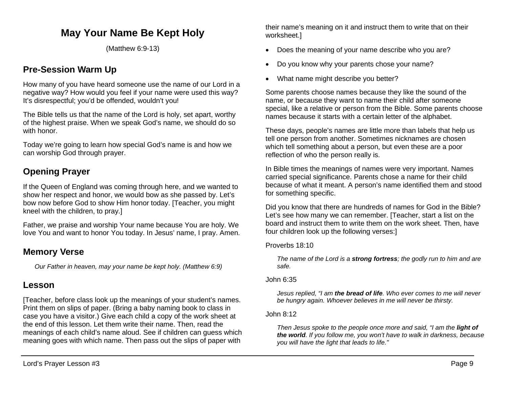# **May Your Name Be Kept Holy**

(Matthew 6:9-13)

## **Pre-Session Warm Up**

How many of you have heard someone use the name of our Lord in a negative way? How would you feel if your name were used this way? It's disrespectful; you'd be offended, wouldn't you!

The Bible tells us that the name of the Lord is holy, set apart, worthy of the highest praise. When we speak God's name, we should do so with honor.

Today we're going to learn how special God's name is and how we can worship God through prayer.

## **Opening Prayer**

If the Queen of England was coming through here, and we wanted to show her respect and honor, we would bow as she passed by. Let's bow now before God to show Him honor today. [Teacher, you might kneel with the children, to pray.]

Father, we praise and worship Your name because You are holy. We love You and want to honor You today. In Jesus' name, I pray. Amen.

## **Memory Verse**

*Our Father in heaven, may your name be kept holy. (Matthew 6:9)*

## **Lesson**

[Teacher, before class look up the meanings of your student's names. Print them on slips of paper. (Bring a baby naming book to class in case you have a visitor.) Give each child a copy of the work sheet at the end of this lesson. Let them write their name. Then, read the meanings of each child's name aloud. See if children can guess which meaning goes with which name. Then pass out the slips of paper with

their name's meaning on it and instruct them to write that on their worksheet.]

- Does the meaning of your name describe who you are?
- Do you know why your parents chose your name?
- What name might describe you better?

Some parents choose names because they like the sound of the name, or because they want to name their child after someone special, like a relative or person from the Bible. Some parents choose names because it starts with a certain letter of the alphabet.

These days, people's names are little more than labels that help us tell one person from another. Sometimes nicknames are chosen which tell something about a person, but even these are a poor reflection of who the person really is.

In Bible times the meanings of names were very important. Names carried special significance. Parents chose a name for their child because of what it meant. A person's name identified them and stood for something specific.

Did you know that there are hundreds of names for God in the Bible? Let's see how many we can remember. [Teacher, start a list on the board and instruct them to write them on the work sheet. Then, have four children look up the following verses:]

#### Proverbs 18:10

*The name of the Lord is a strong fortress; the godly run to him and are safe.*

#### John 6:35

*Jesus replied, "I am the bread of life. Who ever comes to me will never be hungry again. Whoever believes in me will never be thirsty.*

#### John 8:12

*Then Jesus spoke to the people once more and said, "I am the light of the world. If you follow me, you won't have to walk in darkness, because you will have the light that leads to life."*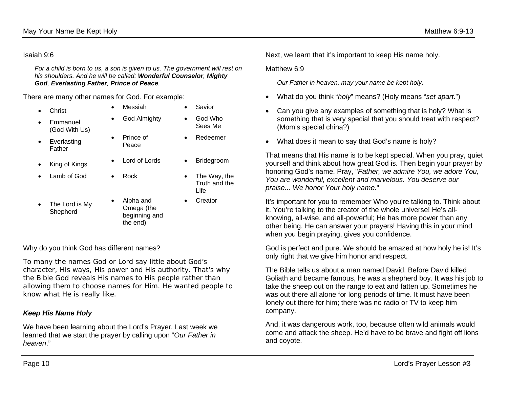*For a child is born to us, a son is given to us. The government will rest on his shoulders. And he will be called: Wonderful Counselor, Mighty God, Everlasting Father, Prince of Peace.*

There are many other names for God. For example:

- Christ Messiah Savior
- **Emmanuel** (God With Us)
- **Everlasting** Father
- 
- 
- The Lord is My Shepherd
- God Almighty God Who Prince of
- Peace
- King of Kings Lord of Lords Bridegroom
	-
	- Alpha and Omega (the beginning and the end)

#### Why do you think God has different names?

To many the names *God* or *Lord* say little about God's character, His ways, His power and His authority. That's why the Bible God reveals His names to His people rather than allowing them to choose names for Him. He wanted people to know what He is really like.

### *Keep His Name Holy*

We have been learning about the Lord's Prayer. Last week we learned that we start the prayer by calling upon "*Our Father in heaven*."

Next, we learn that it's important to keep His name holy.

Matthew 6.9

*Our Father in heaven, may your name be kept holy.* 

- What do you think "*holy*" means? (Holy means "*set apart*.")
- Can you give any examples of something that is holy? What is something that is very special that you should treat with respect? (Mom's special china?)
- What does it mean to say that God's name is holy?

That means that His name is to be kept special. When you pray, quiet yourself and think about how great God is. Then begin your prayer by honoring God's name. Pray, "*Father, we admire You, we adore You, You are wonderful, excellent and marvelous. You deserve our praise... We honor Your holy name*."

It's important for you to remember Who you're talking to. Think about it. You're talking to the creator of the whole universe! He's allknowing, all-wise, and all-powerful; He has more power than any other being. He can answer your prayers! Having this in your mind when you begin praying, gives you confidence.

God is perfect and pure. We should be amazed at how holy he is! It's only right that we give him honor and respect.

The Bible tells us about a man named David. Before David killed Goliath and became famous, he was a shepherd boy. It was his job to take the sheep out on the range to eat and fatten up. Sometimes he was out there all alone for long periods of time. It must have been lonely out there for him; there was no radio or TV to keep him company.

And, it was dangerous work, too, because often wild animals would come and attack the sheep. He'd have to be brave and fight off lions and coyote.

- Redeemer
- 

Sees Me

- Lamb of God Rock The Way, the Truth and the Life
	- Creator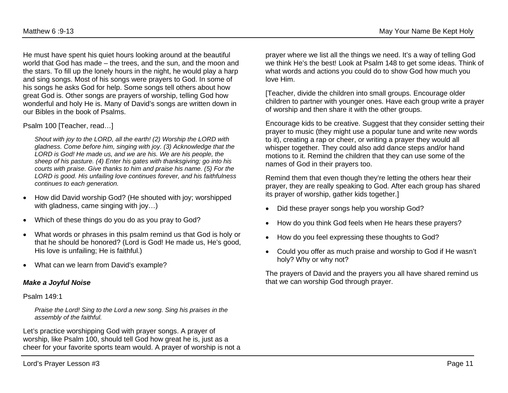He must have spent his quiet hours looking around at the beautiful world that God has made – the trees, and the sun, and the moon and the stars. To fill up the lonely hours in the night, he would play a harp and sing songs. Most of his songs were prayers to God. In some of his songs he asks God for help. Some songs tell others about how great God is. Other songs are prayers of worship, telling God how wonderful and holy He is. Many of David's songs are written down in our Bibles in the book of Psalms.

#### Psalm 100 [Teacher, read…]

*Shout with joy to the LORD, all the earth! (2) Worship the LORD with gladness. Come before him, singing with joy. (3) Acknowledge that the LORD is God! He made us, and we are his. We are his people, the sheep of his pasture. (4) Enter his gates with thanksgiving; go into his courts with praise. Give thanks to him and praise his name. (5) For the LORD is good. His unfailing love continues forever, and his faithfulness continues to each generation.*

- How did David worship God? (He shouted with joy; worshipped with gladness, came singing with joy...)
- Which of these things do you do as you pray to God?
- What words or phrases in this psalm remind us that God is holy or that he should be honored? (Lord is God! He made us, He's good, His love is unfailing; He is faithful.)
- What can we learn from David's example?

#### *Make a Joyful Noise*

Psalm 149:1

*Praise the Lord! Sing to the Lord a new song. Sing his praises in the assembly of the faithful.*

Let's practice worshipping God with prayer songs. A prayer of worship, like Psalm 100, should tell God how great he is, just as a cheer for your favorite sports team would. A prayer of worship is not a prayer where we list all the things we need. It's a way of telling God we think He's the best! Look at Psalm 148 to get some ideas. Think of what words and actions you could do to show God how much you love Him.

[Teacher, divide the children into small groups. Encourage older children to partner with younger ones. Have each group write a prayer of worship and then share it with the other groups.

Encourage kids to be creative. Suggest that they consider setting their prayer to music (they might use a popular tune and write new words to it), creating a rap or cheer, or writing a prayer they would all whisper together. They could also add dance steps and/or hand motions to it. Remind the children that they can use some of the names of God in their prayers too.

Remind them that even though they're letting the others hear their prayer, they are really speaking to God. After each group has shared its prayer of worship, gather kids together.]

- Did these prayer songs help you worship God?
- How do you think God feels when He hears these prayers?
- How do you feel expressing these thoughts to God?
- Could you offer as much praise and worship to God if He wasn't holy? Why or why not?

The prayers of David and the prayers you all have shared remind us that we can worship God through prayer.